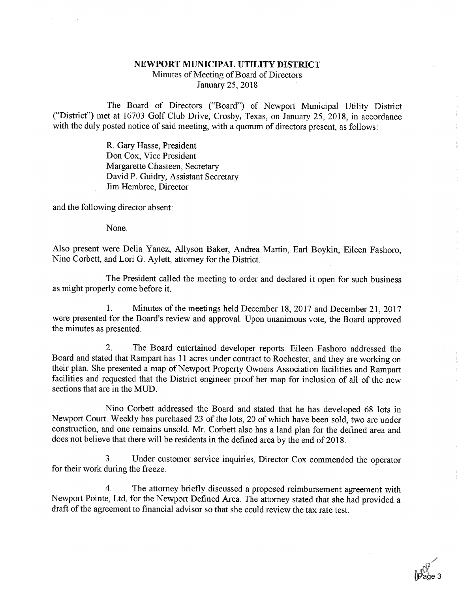## NEWPORT MUNICIPAL UTILITY DISTRICT Minutes of Meeting of Board of Directors January 25, 2018

The Board of Directors ("Board") of Newport Municipal Utility District ("District") met at 16703 Golf Club Drive, Crosby, Texas, on January 25, 2018, in accordance with the duly posted notice of said meeting, with a quorum of directors present, as follows:

> R. Gary Hasse, President Don Cox, Vice President Margarette Chasteen, Secretary David P. Guidry, Assistant Secretary Jim Hembree, Director

and the following director absent:

None.

Also present were Delia Yanez, Allyson Baker, Andrea Martin, Earl Boykin, Eileen Fashoro, Nino Corbett, and Lori G. Aylett, attorney for the District.

The President called the meeting to order and declared it open for such business as might properly come before it.

1. Minutes of the meetings held December 18, 2017 and December 21, 2017 were presented for the Board's review and approval. Upon unanimous vote, the Board approved the minutes as presented.

2. The Board entertained developer reports. Eileen Fashoro addressed the Board and stated that Rampart has 11 acres under contract to Rochester, and they are working on their plan. She presented a map of Newport Property Owners Association facilities and Rampart facilities and requested that the District engineer proof her map for inclusion of all of the new sections that are in the MUD.

Nino Corbett addressed the Board and stated that he has developed 68 lots in Newport Court. Weekly has purchased 23 of the lots, 20 of which have been sold, two are under construction, and one remains unsold. Mr. Corbett also has a land plan for the defined area and does not believe that there will be residents in the defined area by the end of 2018.

3. Under customer service inquiries, Director Cox commended the operator for their work during the freeze.

4. The attorney briefly discussed a proposed reimbursement agreement with Newport Pointe, Ltd. for the Newport Defined Area. The attorney stated that she had provided a draft of the agreement to financial advisor so that she could review the tax rate test.

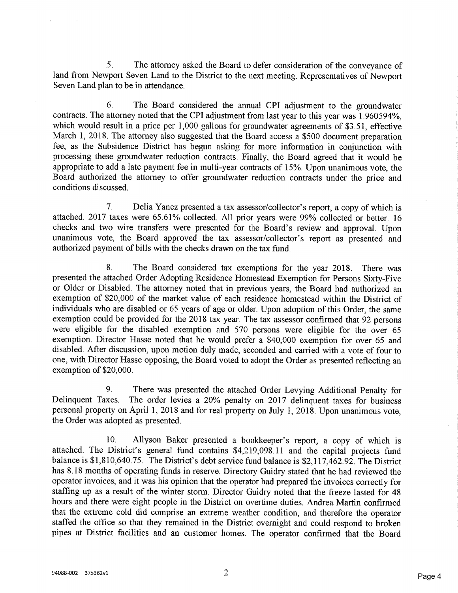5. The attorney asked the Board to defer consideration of the conveyance of land from Newport Seven Land to the District to the next meeting. Representatives of Newport Seven Land plan to be in attendance.

6. The Board considered the annual CPI adjustment to the groundwater contracts. The attorney noted that the CPI adjustment from last year to this year was 1.960594%, which would result in a price per 1,000 gallons for groundwater agreements of \$3.51, effective March 1, 2018. The attorney also suggested that the Board access a \$500 document preparation fee, as the Subsidence District has begun asking for more information in conjunction with processing these groundwater reduction contracts. Finally, the Board agreed that it would be appropriate to add a late payment fee in multi-year contracts of 15%. Upon unanimous vote, the Board authorized the attorney to offer groundwater reduction contracts under the price and conditions discussed.

7. Delia Yanez presented a tax assessor/collector's report, a copy of which is attached. 2017 taxes were 65.61% collected. All prior years were 99% collected or better. 16 checks and two wire transfers were presented for the Board's review and approval. Upon unanimous vote, the Board approved the tax assessor/collector's report as presented and authorized payment of bills with the checks drawn on the tax fund.

8. The Board considered tax exemptions for the year 2018. There was presented the attached Order Adopting Residence Homestead Exemption for Persons Sixty-Five or Older or Disabled. The attorney noted that in previous years, the Board had authorized an exemption of \$20,000 of the market value of each residence homestead within the District of individuals who are disabled or 65 years of age or older. Upon adoption of this Order, the same exemption could be provided for the 2018 tax year. The tax assessor confirmed that 92 persons were eligible for the disabled exemption and 570 persons were eligible for the over 65 exemption. Director Hasse noted that he would prefer a \$40,000 exemption for over 65 and disabled. After discussion, upon motion duly made, seconded and carried with a vote of four to one, with Director Hasse opposing, the Board voted to adopt the Order as presented reflecting an exemption of \$20,000.

9. There was presented the attached Order Levying Additional Penalty for Delinquent Taxes. The order levies a 20% penalty on 2017 delinquent taxes for business personal property on April 1, 2018 and for real property on July 1, 2018. Upon unanimous vote, the Order was adopted as presented.

10. Allyson Baker presented a bookkeeper's report, a copy of which is attached. The District's general fund contains \$4,219,098.11 and the capital projects fund balance is \$1,810,640.75. The District's debt service fund balance is \$2,117,462.92. The District has 8.18 months of operating funds in reserve. Directory Guidry stated that he had reviewed the operator invoices, and it was his opinion that the operator had prepared the invoices correctly for staffing up as a result of the winter storm. Director Guidry noted that the freeze lasted for 48 hours and there were eight people in the District on overtime duties. Andrea Martin confirmed that the extreme cold did comprise an extreme weather condition, and therefore the operator staffed the office so that they remained in the District overnight and could respond to broken pipes at District facilities and an customer homes. The operator confirmed that the Board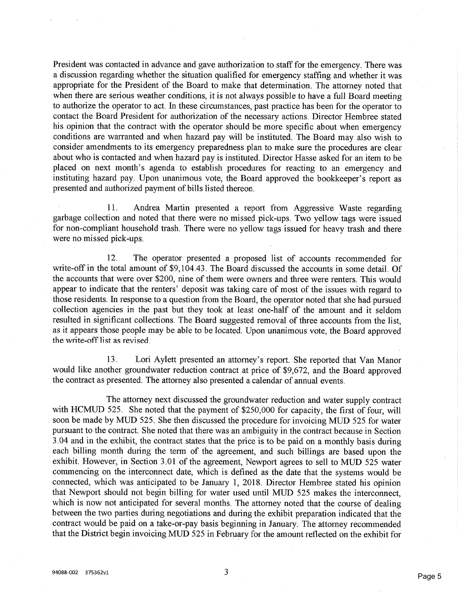President was contacted in advance and gave authorization to staff for the emergency. There was a discussion regarding whether the situation qualified for emergency staffing and whether it was appropriate for the President of the Board to make that determination. The attorney noted that when there are serious weather conditions, it is not always possible to have a full Board meeting to authorize the operator to act. In these circumstances, past practice has been for the operator to contact the Board President for authorization of the necessary actions. Director Hembree stated his opinion that the contract with the operator should be more specific about when emergency conditions are warranted and when hazard pay will be instituted. The Board may also wish to consider amendments to its emergency preparedness plan to make sure the procedures are clear about who is contacted and when hazard pay is instituted. Director Hasse asked for an item to be placed on next month's agenda to establish procedures for reacting to an emergency and instituting hazard pay. Upon unanimous vote, the Board approved the bookkeeper's report as presented and authorized payment of bills listed thereon.

11. Andrea Martin presented a report from Aggressive Waste regarding garbage collection and noted that there were no missed pick-ups. Two yellow tags were issued for non-compliant household trash. There were no yellow tags issued for heavy trash and there were no missed pick-ups.

12. The operator presented a proposed list of accounts recommended for write-ofF in the total amount of \$9,104.43. The Board discussed the accounts in some detail. Of the accounts that were over \$200, nine of them were owners and three were renters. This would appear to indicate that the renters' deposit was taking care of most of the issues with regard to those residents. In response to a question from the Board, the operator noted that she had pursued collection agencies in the past but they took at least one-half of the amount and it seldom resulted in significant collections. The Board suggested removal of three accounts from the list, as it appears those people may be able to be located. Upon unanimous vote, the Board approved the write-off list as revised.

13. Lori Aylett presented an attorney's report. She reported that Van Manor would like another groundwater reduction contract at price of \$9,672, and the Board approved the contract as presented. The attorney also presented a calendar of annual events.

The attorney next discussed the groundwater reduction and water supply contract with HCMUD 525. She noted that the payment of \$250,000 for capacity, the first of four, will soon be made by MUD 525. She then discussed the procedure for invoicing MUD 525 for water pursuant to the contract. She noted that there was an ambiguity in the contract because in Section 3.04 and in the exhibit, the contract states that the price is to be paid on a monthly basis during each billing month during the term of the agreement, and such billings are based upon the exhibit. However, in Section 3.01 of the agreement, Newport agrees to sell to MUD 525 water commencing on the interconnect date, which is defined as the date that the systems would be connected, which was anticipated to be January 1, 2018. Director Hembree stated his opinion that Newport should not begin billing for water used until MUD 525 makes the interconnect, which is now not anticipated for several months. The attorney noted that the course of dealing between the two parties during negotiations and during the exhibit preparation indicated that the contract would be paid on a take-or-pay basis beginning in January. The attorney recommended that the District begin invoicing MUD 525 in February for the amount reflected on the exhibit for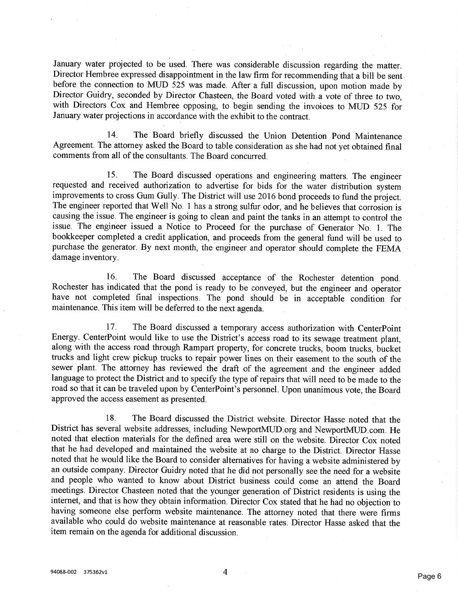January water projected to be used. There was considerable discussion regarding the matter. Director Hembree expressed disappointment in the law firm for recommending that a bill be sent before the connection to MUD 525 was made. After a full discussion, upon motion made by Director Guidry, seconded by Director Chasteen, the Board voted with a vote of three to two, with Directors Cox and Hembree opposing, to begin sending the invoices to MUD 525 for January water projections in accordance with the exhibit to the contract.

14. The Board briefly discussed the Union Detention Pond Maintenance Agreement. The attorney asked the Board to table consideration as she had not yet obtained final comments from all of the consultants. The Board concurred.

15. The Board discussed operations and engineering matters. The engineer requested and received authorization to advertise for bids for the water distribution system improvements to cross Gum Gully. The District will use 2016 bond proceeds to fund the project. The engineer reported that Well No. 1 has a strong sulfur odor, and he believes that corrosion is causing the issue. The engineer is going to clean and paint the tanks in an attempt to control the issue. The engineer issued a Notice to Proceed for the purchase of Generator No. 1. The bookkeeper completed a credit application, and proceeds from the general fund will be used to purchase the generator. By next month, the engineer and operator should complete the FEMA damage inventory.

16. The Board discussed acceptance of the Rochester detention pond. Rochester has indicated that the pond is ready to be conveyed, but the engineer and operator have not completed final inspections. The pond should be in acceptable condition for maintenance. This item will be deferred to the next agenda.

17. The Board discussed a temporary access authorization with CenterPoint Energy. CenterPoint would like to use the District's access road to its sewage treatment plant, along with the access road through Rampart property, for concrete trucks, boom trucks, bucket trucks and light crew pickup tmcks to repair power lines on their easement to the south of the sewer plant. The attorney has reviewed the draft of the agreement and the engineer added language to protect the District and to specify the type of repairs that will need to be made to the road so that it can be traveled upon by CenterPoint's personnel. Upon unanimous vote, the Board approved the access easement as presented.

18. The Board discussed the District website. Director Hasse noted that the District has several website addresses, including NewportMUD.org and NewportMUD.com. He noted that election materials for the defined area were still on the website. Director Cox noted that he had developed and maintained the website at no charge to the District. Director Hasse noted that he would like the Board to consider alternatives for having a website administered by an outside company. Director Guidry noted that he did not personally see the need for a website and people who wanted to know about District business could come an attend the Board meetings. Director Chasteen noted that the younger generation of District residents is using the internet, and that is how they obtain information. Director Cox stated that he had no objection to having someone else perform website maintenance. The attorney noted that there were Finns available who could do website maintenance at reasonable rates. Director Hasse asked that the item remain on the agenda for additional discussion.